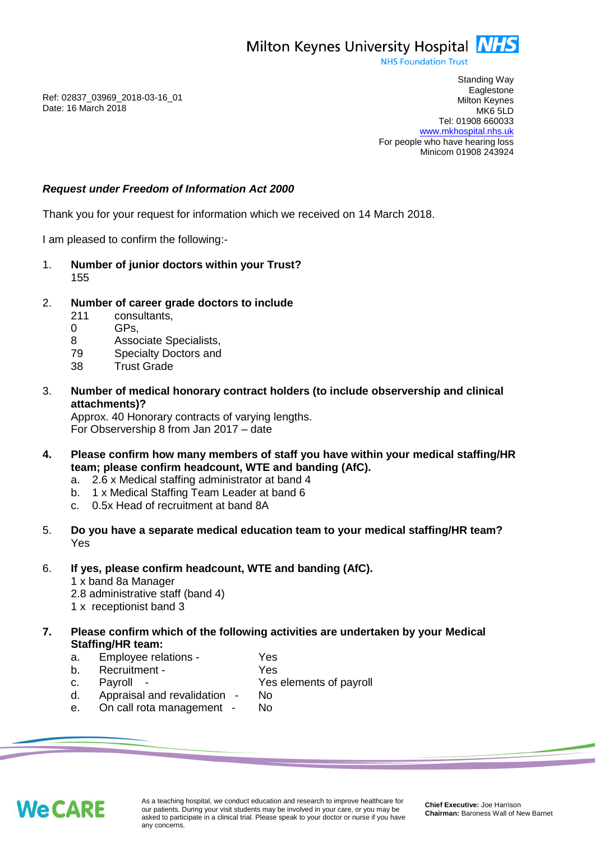Milton Keynes University Hospital **NHS** 

**NHS Foundation Trust** 

Ref: 02837\_03969\_2018-03-16\_01 Date: 16 March 2018

Standing Way **Eaglestone** Milton Keynes MK6 5LD Tel: 01908 660033 [www.mkhospital.nhs.uk](http://www.mkhospital.nhs.uk/) For people who have hearing loss Minicom 01908 243924

## *Request under Freedom of Information Act 2000*

Thank you for your request for information which we received on 14 March 2018.

I am pleased to confirm the following:-

- 1. **Number of junior doctors within your Trust?**  155
- 2. **Number of career grade doctors to include** 
	- 211 consultants,
	- 0 GPs,
	- 8 Associate Specialists,
	- 79 Specialty Doctors and
	- 38 Trust Grade
- 3. **Number of medical honorary contract holders (to include observership and clinical attachments)?**

Approx. 40 Honorary contracts of varying lengths. For Observership 8 from Jan 2017 – date

- **4. Please confirm how many members of staff you have within your medical staffing/HR team; please confirm headcount, WTE and banding (AfC).** 
	- a. 2.6 x Medical staffing administrator at band 4
	- b. 1 x Medical Staffing Team Leader at band 6
	- c. 0.5x Head of recruitment at band 8A
- 5. **Do you have a separate medical education team to your medical staffing/HR team?**  Yes
- 6. **If yes, please confirm headcount, WTE and banding (AfC).** 
	- 1 x band 8a Manager
	- 2.8 administrative staff (band 4)
	- 1 x receptionist band 3
- **7. Please confirm which of the following activities are undertaken by your Medical Staffing/HR team:**
	- a. Employee relations Yes
	- b. Recruitment Yes
	- c. Payroll Yes elements of payroll
	- d. Appraisal and revalidation No e. On call rota management - No